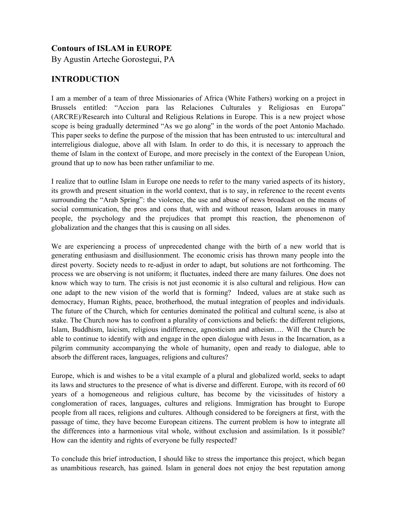## **Contours of ISLAM in EUROPE**

By Agustin Arteche Gorostegui, PA

# **INTRODUCTION**

I am a member of a team of three Missionaries of Africa (White Fathers) working on a project in Brussels entitled: "Accion para las Relaciones Culturales y Religiosas en Europa" (ARCRE)/Research into Cultural and Religious Relations in Europe. This is a new project whose scope is being gradually determined "As we go along" in the words of the poet Antonio Machado. This paper seeks to define the purpose of the mission that has been entrusted to us: intercultural and interreligious dialogue, above all with Islam. In order to do this, it is necessary to approach the theme of Islam in the context of Europe, and more precisely in the context of the European Union, ground that up to now has been rather unfamiliar to me.

I realize that to outline Islam in Europe one needs to refer to the many varied aspects of its history, its growth and present situation in the world context, that is to say, in reference to the recent events surrounding the "Arab Spring": the violence, the use and abuse of news broadcast on the means of social communication, the pros and cons that, with and without reason, Islam arouses in many people, the psychology and the prejudices that prompt this reaction, the phenomenon of globalization and the changes that this is causing on all sides.

We are experiencing a process of unprecedented change with the birth of a new world that is generating enthusiasm and disillusionment. The economic crisis has thrown many people into the direst poverty. Society needs to re-adjust in order to adapt, but solutions are not forthcoming. The process we are observing is not uniform; it fluctuates, indeed there are many failures. One does not know which way to turn. The crisis is not just economic it is also cultural and religious. How can one adapt to the new vision of the world that is forming? Indeed, values are at stake such as democracy, Human Rights, peace, brotherhood, the mutual integration of peoples and individuals. The future of the Church, which for centuries dominated the political and cultural scene, is also at stake. The Church now has to confront a plurality of convictions and beliefs: the different religions, Islam, Buddhism, laicism, religious indifference, agnosticism and atheism…. Will the Church be able to continue to identify with and engage in the open dialogue with Jesus in the Incarnation, as a pilgrim community accompanying the whole of humanity, open and ready to dialogue, able to absorb the different races, languages, religions and cultures?

Europe, which is and wishes to be a vital example of a plural and globalized world, seeks to adapt its laws and structures to the presence of what is diverse and different. Europe, with its record of 60 years of a homogeneous and religious culture, has become by the vicissitudes of history a conglomeration of races, languages, cultures and religions. Immigration has brought to Europe people from all races, religions and cultures. Although considered to be foreigners at first, with the passage of time, they have become European citizens. The current problem is how to integrate all the differences into a harmonious vital whole, without exclusion and assimilation. Is it possible? How can the identity and rights of everyone be fully respected?

To conclude this brief introduction, I should like to stress the importance this project, which began as unambitious research, has gained. Islam in general does not enjoy the best reputation among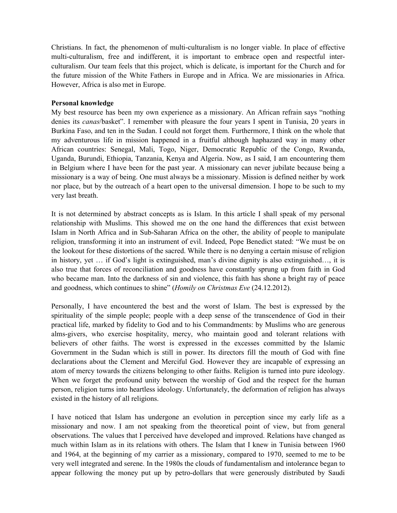Christians. In fact, the phenomenon of multi-culturalism is no longer viable. In place of effective multi-culturalism, free and indifferent, it is important to embrace open and respectful interculturalism. Our team feels that this project, which is delicate, is important for the Church and for the future mission of the White Fathers in Europe and in Africa. We are missionaries in Africa. However, Africa is also met in Europe.

### **Personal knowledge**

My best resource has been my own experience as a missionary. An African refrain says "nothing denies its *canas*/basket". I remember with pleasure the four years I spent in Tunisia, 20 years in Burkina Faso, and ten in the Sudan. I could not forget them. Furthermore, I think on the whole that my adventurous life in mission happened in a fruitful although haphazard way in many other African countries: Senegal, Mali, Togo, Niger, Democratic Republic of the Congo, Rwanda, Uganda, Burundi, Ethiopia, Tanzania, Kenya and Algeria. Now, as I said, I am encountering them in Belgium where I have been for the past year. A missionary can never jubilate because being a missionary is a way of being. One must always be a missionary. Mission is defined neither by work nor place, but by the outreach of a heart open to the universal dimension. I hope to be such to my very last breath.

It is not determined by abstract concepts as is Islam. In this article I shall speak of my personal relationship with Muslims. This showed me on the one hand the differences that exist between Islam in North Africa and in Sub-Saharan Africa on the other, the ability of people to manipulate religion, transforming it into an instrument of evil. Indeed, Pope Benedict stated: "We must be on the lookout for these distortions of the sacred. While there is no denying a certain misuse of religion in history, yet … if God's light is extinguished, man's divine dignity is also extinguished…, it is also true that forces of reconciliation and goodness have constantly sprung up from faith in God who became man. Into the darkness of sin and violence, this faith has shone a bright ray of peace and goodness, which continues to shine" (*Homily on Christmas Eve* (24.12.2012).

Personally, I have encountered the best and the worst of Islam. The best is expressed by the spirituality of the simple people; people with a deep sense of the transcendence of God in their practical life, marked by fidelity to God and to his Commandments: by Muslims who are generous alms-givers, who exercise hospitality, mercy, who maintain good and tolerant relations with believers of other faiths. The worst is expressed in the excesses committed by the Islamic Government in the Sudan which is still in power. Its directors fill the mouth of God with fine declarations about the Clement and Merciful God. However they are incapable of expressing an atom of mercy towards the citizens belonging to other faiths. Religion is turned into pure ideology. When we forget the profound unity between the worship of God and the respect for the human person, religion turns into heartless ideology. Unfortunately, the deformation of religion has always existed in the history of all religions.

I have noticed that Islam has undergone an evolution in perception since my early life as a missionary and now. I am not speaking from the theoretical point of view, but from general observations. The values that I perceived have developed and improved. Relations have changed as much within Islam as in its relations with others. The Islam that I knew in Tunisia between 1960 and 1964, at the beginning of my carrier as a missionary, compared to 1970, seemed to me to be very well integrated and serene. In the 1980s the clouds of fundamentalism and intolerance began to appear following the money put up by petro-dollars that were generously distributed by Saudi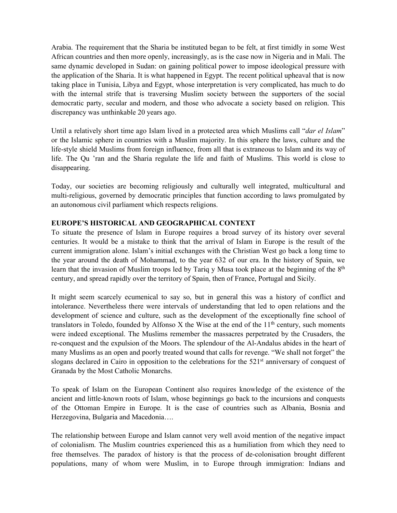Arabia. The requirement that the Sharia be instituted began to be felt, at first timidly in some West African countries and then more openly, increasingly, as is the case now in Nigeria and in Mali. The same dynamic developed in Sudan: on gaining political power to impose ideological pressure with the application of the Sharia. It is what happened in Egypt. The recent political upheaval that is now taking place in Tunisia, Libya and Egypt, whose interpretation is very complicated, has much to do with the internal strife that is traversing Muslim society between the supporters of the social democratic party, secular and modern, and those who advocate a society based on religion. This discrepancy was unthinkable 20 years ago.

Until a relatively short time ago Islam lived in a protected area which Muslims call "*dar el Islam*" or the Islamic sphere in countries with a Muslim majority. In this sphere the laws, culture and the life-style shield Muslims from foreign influence, from all that is extraneous to Islam and its way of life. The Qu 'ran and the Sharia regulate the life and faith of Muslims. This world is close to disappearing.

Today, our societies are becoming religiously and culturally well integrated, multicultural and multi-religious, governed by democratic principles that function according to laws promulgated by an autonomous civil parliament which respects religions.

### **EUROPE'S HISTORICAL AND GEOGRAPHICAL CONTEXT**

To situate the presence of Islam in Europe requires a broad survey of its history over several centuries. It would be a mistake to think that the arrival of Islam in Europe is the result of the current immigration alone. Islam's initial exchanges with the Christian West go back a long time to the year around the death of Mohammad, to the year 632 of our era. In the history of Spain, we learn that the invasion of Muslim troops led by Tariq y Musa took place at the beginning of the 8<sup>th</sup> century, and spread rapidly over the territory of Spain, then of France, Portugal and Sicily.

It might seem scarcely ecumenical to say so, but in general this was a history of conflict and intolerance. Nevertheless there were intervals of understanding that led to open relations and the development of science and culture, such as the development of the exceptionally fine school of translators in Toledo, founded by Alfonso X the Wise at the end of the  $11<sup>th</sup>$  century, such moments were indeed exceptional. The Muslims remember the massacres perpetrated by the Crusaders, the re-conquest and the expulsion of the Moors. The splendour of the Al-Andalus abides in the heart of many Muslims as an open and poorly treated wound that calls for revenge. "We shall not forget" the slogans declared in Cairo in opposition to the celebrations for the 521<sup>st</sup> anniversary of conquest of Granada by the Most Catholic Monarchs.

To speak of Islam on the European Continent also requires knowledge of the existence of the ancient and little-known roots of Islam, whose beginnings go back to the incursions and conquests of the Ottoman Empire in Europe. It is the case of countries such as Albania, Bosnia and Herzegovina, Bulgaria and Macedonia….

The relationship between Europe and Islam cannot very well avoid mention of the negative impact of colonialism. The Muslim countries experienced this as a humiliation from which they need to free themselves. The paradox of history is that the process of de-colonisation brought different populations, many of whom were Muslim, in to Europe through immigration: Indians and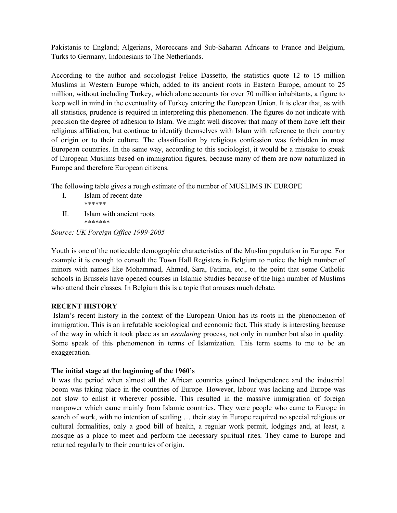Pakistanis to England; Algerians, Moroccans and Sub-Saharan Africans to France and Belgium, Turks to Germany, Indonesians to The Netherlands.

According to the author and sociologist Felice Dassetto, the statistics quote 12 to 15 million Muslims in Western Europe which, added to its ancient roots in Eastern Europe, amount to 25 million, without including Turkey, which alone accounts for over 70 million inhabitants, a figure to keep well in mind in the eventuality of Turkey entering the European Union. It is clear that, as with all statistics, prudence is required in interpreting this phenomenon. The figures do not indicate with precision the degree of adhesion to Islam. We might well discover that many of them have left their religious affiliation, but continue to identify themselves with Islam with reference to their country of origin or to their culture. The classification by religious confession was forbidden in most European countries. In the same way, according to this sociologist, it would be a mistake to speak of European Muslims based on immigration figures, because many of them are now naturalized in Europe and therefore European citizens.

The following table gives a rough estimate of the number of MUSLIMS IN EUROPE

- I. Islam of recent date \*\*\*\*\*\*
- II. Islam with ancient roots \*\*\*\*\*\*\*

*Source: UK Foreign Office 1999-2005*

Youth is one of the noticeable demographic characteristics of the Muslim population in Europe. For example it is enough to consult the Town Hall Registers in Belgium to notice the high number of minors with names like Mohammad, Ahmed, Sara, Fatima, etc., to the point that some Catholic schools in Brussels have opened courses in Islamic Studies because of the high number of Muslims who attend their classes. In Belgium this is a topic that arouses much debate.

### **RECENT HISTORY**

Islam's recent history in the context of the European Union has its roots in the phenomenon of immigration. This is an irrefutable sociological and economic fact. This study is interesting because of the way in which it took place as an *escalating* process, not only in number but also in quality. Some speak of this phenomenon in terms of Islamization. This term seems to me to be an exaggeration.

#### **The initial stage at the beginning of the 1960's**

It was the period when almost all the African countries gained Independence and the industrial boom was taking place in the countries of Europe. However, labour was lacking and Europe was not slow to enlist it wherever possible. This resulted in the massive immigration of foreign manpower which came mainly from Islamic countries. They were people who came to Europe in search of work, with no intention of settling … their stay in Europe required no special religious or cultural formalities, only a good bill of health, a regular work permit, lodgings and, at least, a mosque as a place to meet and perform the necessary spiritual rites. They came to Europe and returned regularly to their countries of origin.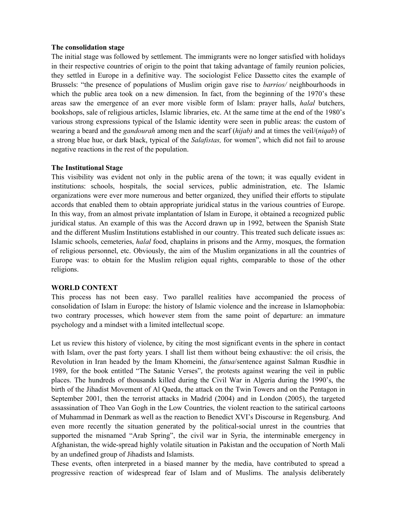#### **The consolidation stage**

The initial stage was followed by settlement. The immigrants were no longer satisfied with holidays in their respective countries of origin to the point that taking advantage of family reunion policies, they settled in Europe in a definitive way. The sociologist Felice Dassetto cites the example of Brussels: "the presence of populations of Muslim origin gave rise to *barrios/* neighbourhoods in which the public area took on a new dimension. In fact, from the beginning of the 1970's these areas saw the emergence of an ever more visible form of Islam: prayer halls, *halal* butchers, bookshops, sale of religious articles, Islamic libraries, etc. At the same time at the end of the 1980's various strong expressions typical of the Islamic identity were seen in public areas: the custom of wearing a beard and the *gandourah* among men and the scarf (*hijab)* and at times the veil/(*niqab*) of a strong blue hue, or dark black, typical of the *Salafistas,* for women", which did not fail to arouse negative reactions in the rest of the population.

### **The Institutional Stage**

This visibility was evident not only in the public arena of the town; it was equally evident in institutions: schools, hospitals, the social services, public administration, etc. The Islamic organizations were ever more numerous and better organized, they unified their efforts to stipulate accords that enabled them to obtain appropriate juridical status in the various countries of Europe. In this way, from an almost private implantation of Islam in Europe, it obtained a recognized public juridical status. An example of this was the Accord drawn up in 1992, between the Spanish State and the different Muslim Institutions established in our country. This treated such delicate issues as: Islamic schools, cemeteries, *halal* food, chaplains in prisons and the Army, mosques, the formation of religious personnel, etc. Obviously, the aim of the Muslim organizations in all the countries of Europe was: to obtain for the Muslim religion equal rights, comparable to those of the other religions.

#### **WORLD CONTEXT**

This process has not been easy. Two parallel realities have accompanied the process of consolidation of Islam in Europe: the history of Islamic violence and the increase in Islamophobia: two contrary processes, which however stem from the same point of departure: an immature psychology and a mindset with a limited intellectual scope.

Let us review this history of violence, by citing the most significant events in the sphere in contact with Islam, over the past forty years. I shall list them without being exhaustive: the oil crisis, the Revolution in Iran headed by the Imam Khomeini, the *fatua*/sentence against Salman Rusdhie in 1989, for the book entitled "The Satanic Verses", the protests against wearing the veil in public places. The hundreds of thousands killed during the Civil War in Algeria during the 1990's, the birth of the Jihadist Movement of Al Qaeda, the attack on the Twin Towers and on the Pentagon in September 2001, then the terrorist attacks in Madrid (2004) and in London (2005), the targeted assassination of Theo Van Gogh in the Low Countries, the violent reaction to the satirical cartoons of Muhammad in Denmark as well as the reaction to Benedict XVI's Discourse in Regensburg. And even more recently the situation generated by the political-social unrest in the countries that supported the misnamed "Arab Spring", the civil war in Syria, the interminable emergency in Afghanistan, the wide-spread highly volatile situation in Pakistan and the occupation of North Mali by an undefined group of Jihadists and Islamists.

These events, often interpreted in a biased manner by the media, have contributed to spread a progressive reaction of widespread fear of Islam and of Muslims. The analysis deliberately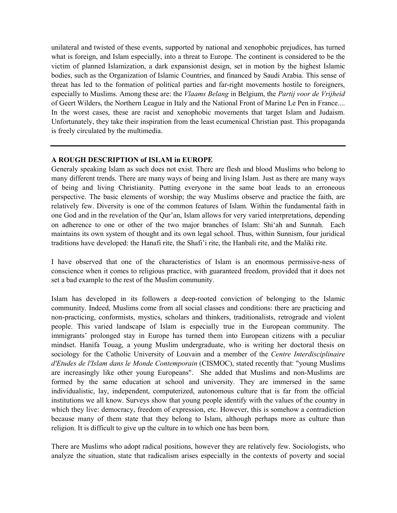unilateral and twisted of these events, supported by national and xenophobic prejudices, has turned what is foreign, and Islam especially, into a threat to Europe. The continent is considered to be the victim of planned Islamization, a dark expansionist design, set in motion by the highest Islamic bodies, such as the Organization of Islamic Countries, and financed by Saudi Arabia. This sense of threat has led to the formation of political parties and far-right movements hostile to foreigners, especially to Muslims. Among these are: the *Vlaams Belang* in Belgium, the *Partij voor de Vrijheid* of Geert Wilders, the Northern League in Italy and the National Front of Marine Le Pen in France.... In the worst cases, these are racist and xenophobic movements that target Islam and Judaism. Unfortunately, they take their inspiration from the least ecumenical Christian past. This propaganda is freely circulated by the multimedia.

### **A ROUGH DESCRIPTION of ISLAM in EUROPE**

Generaly speaking Islam as such does not exist. There are flesh and blood Muslims who belong to many different trends. There are many ways of being and living Islam. Just as there are many ways of being and living Christianity. Putting everyone in the same boat leads to an erroneous perspective. The basic elements of worship; the way Muslims observe and practice the faith, are relatively few. Diversity is one of the common features of Islam. Within the fundamental faith in one God and in the revelation of the Qur'an, Islam allows for very varied interpretations, depending on adherence to one or other of the two major branches of Islam: Shi'ah and Sunnah. Each maintains its own system of thought and its own legal school. Thus, within Sunnism, four juridical traditions have developed: the Hanafi rite, the Shafi'i rite, the Hanbali rite, and the Maliki rite.

I have observed that one of the characteristics of Islam is an enormous permissive-ness of conscience when it comes to religious practice, with guaranteed freedom, provided that it does not set a bad example to the rest of the Muslim community.

Islam has developed in its followers a deep-rooted conviction of belonging to the Islamic community. Indeed, Muslims come from all social classes and conditions: there are practicing and non-practicing, conformists, mystics, scholars and thinkers, traditionalists, retrograde and violent people. This varied landscape of Islam is especially true in the European community. The immigrants' prolonged stay in Europe has turned them into European citizens with a peculiar mindset. Hanifa Touag, a young Muslim undergraduate, who is writing her doctoral thesis on sociology for the Catholic University of Louvain and a member of the *Centre Interdisciplinaire d'Etudes de l'Islam dans le Monde Contemporain* (CISMOC), stated recently that: "young Muslims are increasingly like other young Europeans". She added that Muslims and non-Muslims are formed by the same education at school and university. They are immersed in the same individualistic, lay, independent, computerized, autonomous culture that is far from the official institutions we all know. Surveys show that young people identify with the values of the country in which they live: democracy, freedom of expression, etc. However, this is somehow a contradiction because many of them state that they belong to Islam, although perhaps more as culture than religion. It is difficult to give up the culture in to which one has been born.

There are Muslims who adopt radical positions, however they are relatively few. Sociologists, who analyze the situation, state that radicalism arises especially in the contexts of poverty and social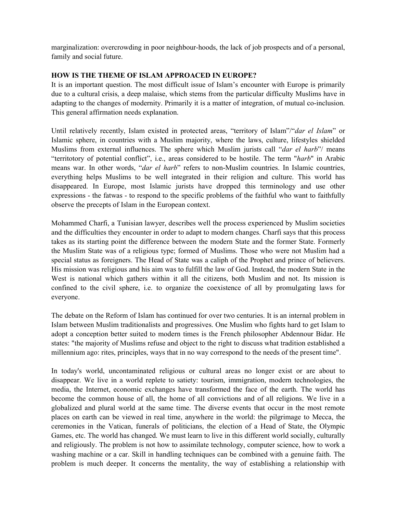marginalization: overcrowding in poor neighbour-hoods, the lack of job prospects and of a personal, family and social future.

### **HOW IS THE THEME OF ISLAM APPROACED IN EUROPE?**

It is an important question. The most difficult issue of Islam's encounter with Europe is primarily due to a cultural crisis, a deep malaise, which stems from the particular difficulty Muslims have in adapting to the changes of modernity. Primarily it is a matter of integration, of mutual co-inclusion. This general affirmation needs explanation.

Until relatively recently, Islam existed in protected areas, "territory of Islam"/"*dar el Islam*" or Islamic sphere, in countries with a Muslim majority, where the laws, culture, lifestyles shielded Muslims from external influences. The sphere which Muslim jurists call "*dar el harb*"/ means "territotory of potential conflict", i.e., areas considered to be hostile. The term "*harb*" in Arabic means war. In other words, "*dar el harb*" refers to non-Muslim countries. In Islamic countries, everything helps Muslims to be well integrated in their religion and culture. This world has disappeared. In Europe, most Islamic jurists have dropped this terminology and use other expressions - the fatwas - to respond to the specific problems of the faithful who want to faithfully observe the precepts of Islam in the European context.

Mohammed Charfi, a Tunisian lawyer, describes well the process experienced by Muslim societies and the difficulties they encounter in order to adapt to modern changes. Charfi says that this process takes as its starting point the difference between the modern State and the former State. Formerly the Muslim State was of a religious type; formed of Muslims. Those who were not Muslim had a special status as foreigners. The Head of State was a caliph of the Prophet and prince of believers. His mission was religious and his aim was to fulfill the law of God. Instead, the modern State in the West is national which gathers within it all the citizens, both Muslim and not. Its mission is confined to the civil sphere, i.e. to organize the coexistence of all by promulgating laws for everyone.

The debate on the Reform of Islam has continued for over two centuries. It is an internal problem in Islam between Muslim traditionalists and progressives. One Muslim who fights hard to get Islam to adopt a conception better suited to modern times is the French philosopher Abdennour Bidar. He states: "the majority of Muslims refuse and object to the right to discuss what tradition established a millennium ago: rites, principles, ways that in no way correspond to the needs of the present time".

In today's world, uncontaminated religious or cultural areas no longer exist or are about to disappear. We live in a world replete to satiety: tourism, immigration, modern technologies, the media, the Internet, economic exchanges have transformed the face of the earth. The world has become the common house of all, the home of all convictions and of all religions. We live in a globalized and plural world at the same time. The diverse events that occur in the most remote places on earth can be viewed in real time, anywhere in the world: the pilgrimage to Mecca, the ceremonies in the Vatican, funerals of politicians, the election of a Head of State, the Olympic Games, etc. The world has changed. We must learn to live in this different world socially, culturally and religiously. The problem is not how to assimilate technology, computer science, how to work a washing machine or a car. Skill in handling techniques can be combined with a genuine faith. The problem is much deeper. It concerns the mentality, the way of establishing a relationship with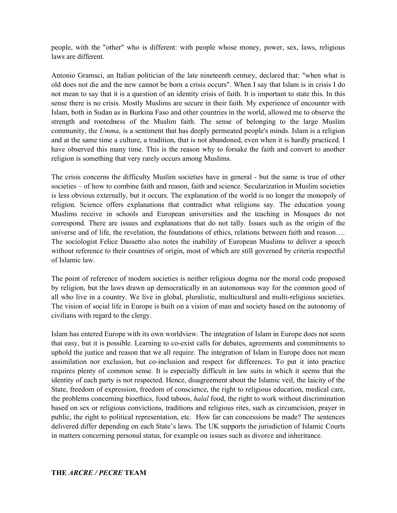people, with the "other" who is different: with people whose money, power, sex, laws, religious laws are different.

Antonio Gramsci, an Italian politician of the late nineteenth century, declared that: "when what is old does not die and the new cannot be born a crisis occurs". When I say that Islam is in crisis I do not mean to say that it is a question of an identity crisis of faith. It is important to state this. In this sense there is no crisis. Mostly Muslims are secure in their faith. My experience of encounter with Islam, both in Sudan as in Burkina Faso and other countries in the world, allowed me to observe the strength and rootedness of the Muslim faith. The sense of belonging to the large Muslim community, the *Umma*, is a sentiment that has deeply permeated people's minds. Islam is a religion and at the same time a culture, a tradition, that is not abandoned, even when it is hardly practiced. I have observed this many time. This is the reason why to forsake the faith and convert to another religion is something that very rarely occurs among Muslims.

The crisis concerns the difficulty Muslim societies have in general - but the same is true of other societies – of how to combine faith and reason, faith and science. Secularization in Muslim societies is less obvious externally, but it occurs. The explanation of the world is no longer the monopoly of religion. Science offers explanations that contradict what religions say. The education young Muslims receive in schools and European universities and the teaching in Mosques do not correspond. There are issues and explanations that do not tally. Issues such as the origin of the universe and of life, the revelation, the foundations of ethics, relations between faith and reason…. The sociologist Felice Dassetto also notes the inability of European Muslims to deliver a speech without reference to their countries of origin, most of which are still governed by criteria respectful of Islamic law.

The point of reference of modern societies is neither religious dogma nor the moral code proposed by religion, but the laws drawn up democratically in an autonomous way for the common good of all who live in a country. We live in global, pluralistic, multicultural and multi-religious societies. The vision of social life in Europe is built on a vision of man and society based on the autonomy of civilians with regard to the clergy.

Islam has entered Europe with its own worldview. The integration of Islam in Europe does not seem that easy, but it is possible. Learning to co-exist calls for debates, agreements and commitments to uphold the justice and reason that we all require. The integration of Islam in Europe does not mean assimilation nor exclusion, but co-inclusion and respect for differences. To put it into practice requires plenty of common sense. It is especially difficult in law suits in which it seems that the identity of each party is not respected. Hence, disagreement about the Islamic veil, the laicity of the State, freedom of expression, freedom of conscience, the right to religious education, medical care, the problems concerning bioethics, food taboos, *halal* food, the right to work without discrimination based on sex or religious convictions, traditions and religious rites, such as circumcision, prayer in public, the right to political representation, etc. How far can concessions be made? The sentences delivered differ depending on each State's laws. The UK supports the jurisdiction of Islamic Courts in matters concerning personal status, for example on issues such as divorce and inheritance.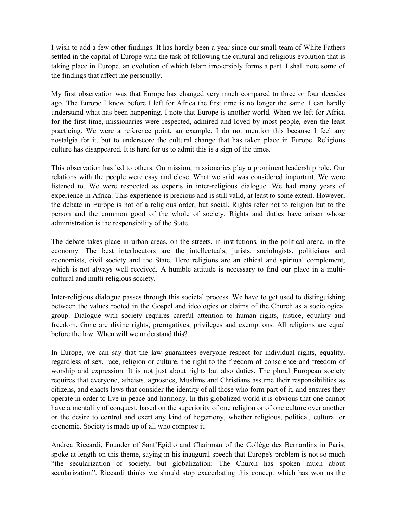I wish to add a few other findings. It has hardly been a year since our small team of White Fathers settled in the capital of Europe with the task of following the cultural and religious evolution that is taking place in Europe, an evolution of which Islam irreversibly forms a part. I shall note some of the findings that affect me personally.

My first observation was that Europe has changed very much compared to three or four decades ago. The Europe I knew before I left for Africa the first time is no longer the same. I can hardly understand what has been happening. I note that Europe is another world. When we left for Africa for the first time, missionaries were respected, admired and loved by most people, even the least practicing. We were a reference point, an example. I do not mention this because I feel any nostalgia for it, but to underscore the cultural change that has taken place in Europe. Religious culture has disappeared. It is hard for us to admit this is a sign of the times.

This observation has led to others. On mission, missionaries play a prominent leadership role. Our relations with the people were easy and close. What we said was considered important. We were listened to. We were respected as experts in inter-religious dialogue. We had many years of experience in Africa. This experience is precious and is still valid, at least to some extent. However, the debate in Europe is not of a religious order, but social. Rights refer not to religion but to the person and the common good of the whole of society. Rights and duties have arisen whose administration is the responsibility of the State.

The debate takes place in urban areas, on the streets, in institutions, in the political arena, in the economy. The best interlocutors are the intellectuals, jurists, sociologists, politicians and economists, civil society and the State. Here religions are an ethical and spiritual complement, which is not always well received. A humble attitude is necessary to find our place in a multicultural and multi-religious society.

Inter-religious dialogue passes through this societal process. We have to get used to distinguishing between the values rooted in the Gospel and ideologies or claims of the Church as a sociological group. Dialogue with society requires careful attention to human rights, justice, equality and freedom. Gone are divine rights, prerogatives, privileges and exemptions. All religions are equal before the law. When will we understand this?

In Europe, we can say that the law guarantees everyone respect for individual rights, equality, regardless of sex, race, religion or culture, the right to the freedom of conscience and freedom of worship and expression. It is not just about rights but also duties. The plural European society requires that everyone, atheists, agnostics, Muslims and Christians assume their responsibilities as citizens, and enacts laws that consider the identity of all those who form part of it, and ensures they operate in order to live in peace and harmony. In this globalized world it is obvious that one cannot have a mentality of conquest, based on the superiority of one religion or of one culture over another or the desire to control and exert any kind of hegemony, whether religious, political, cultural or economic. Society is made up of all who compose it.

Andrea Riccardi, Founder of Sant'Egidio and Chairman of the Collège des Bernardins in Paris, spoke at length on this theme, saying in his inaugural speech that Europe's problem is not so much "the secularization of society, but globalization: The Church has spoken much about secularization". Riccardi thinks we should stop exacerbating this concept which has won us the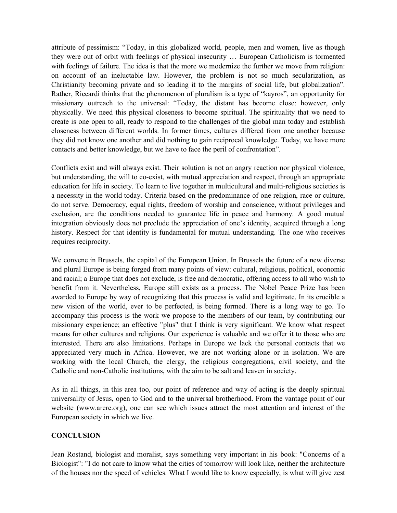attribute of pessimism: "Today, in this globalized world, people, men and women, live as though they were out of orbit with feelings of physical insecurity … European Catholicism is tormented with feelings of failure. The idea is that the more we modernize the further we move from religion: on account of an ineluctable law. However, the problem is not so much secularization, as Christianity becoming private and so leading it to the margins of social life, but globalization". Rather, Riccardi thinks that the phenomenon of pluralism is a type of "kayros", an opportunity for missionary outreach to the universal: "Today, the distant has become close: however, only physically. We need this physical closeness to become spiritual. The spirituality that we need to create is one open to all, ready to respond to the challenges of the global man today and establish closeness between different worlds. In former times, cultures differed from one another because they did not know one another and did nothing to gain reciprocal knowledge. Today, we have more contacts and better knowledge, but we have to face the peril of confrontation".

Conflicts exist and will always exist. Their solution is not an angry reaction nor physical violence, but understanding, the will to co-exist, with mutual appreciation and respect, through an appropriate education for life in society. To learn to live together in multicultural and multi-religious societies is a necessity in the world today. Criteria based on the predominance of one religion, race or culture, do not serve. Democracy, equal rights, freedom of worship and conscience, without privileges and exclusion, are the conditions needed to guarantee life in peace and harmony. A good mutual integration obviously does not preclude the appreciation of one's identity, acquired through a long history. Respect for that identity is fundamental for mutual understanding. The one who receives requires reciprocity.

We convene in Brussels, the capital of the European Union. In Brussels the future of a new diverse and plural Europe is being forged from many points of view: cultural, religious, political, economic and racial; a Europe that does not exclude, is free and democratic, offering access to all who wish to benefit from it. Nevertheless, Europe still exists as a process. The Nobel Peace Prize has been awarded to Europe by way of recognizing that this process is valid and legitimate. In its crucible a new vision of the world, ever to be perfected, is being formed. There is a long way to go. To accompany this process is the work we propose to the members of our team, by contributing our missionary experience; an effective "plus" that I think is very significant. We know what respect means for other cultures and religions. Our experience is valuable and we offer it to those who are interested. There are also limitations. Perhaps in Europe we lack the personal contacts that we appreciated very much in Africa. However, we are not working alone or in isolation. We are working with the local Church, the clergy, the religious congregations, civil society, and the Catholic and non-Catholic institutions, with the aim to be salt and leaven in society.

As in all things, in this area too, our point of reference and way of acting is the deeply spiritual universality of Jesus, open to God and to the universal brotherhood. From the vantage point of our website (www.arcre.org), one can see which issues attract the most attention and interest of the European society in which we live.

### **CONCLUSION**

Jean Rostand, biologist and moralist, says something very important in his book: "Concerns of a Biologist": "I do not care to know what the cities of tomorrow will look like, neither the architecture of the houses nor the speed of vehicles. What I would like to know especially, is what will give zest